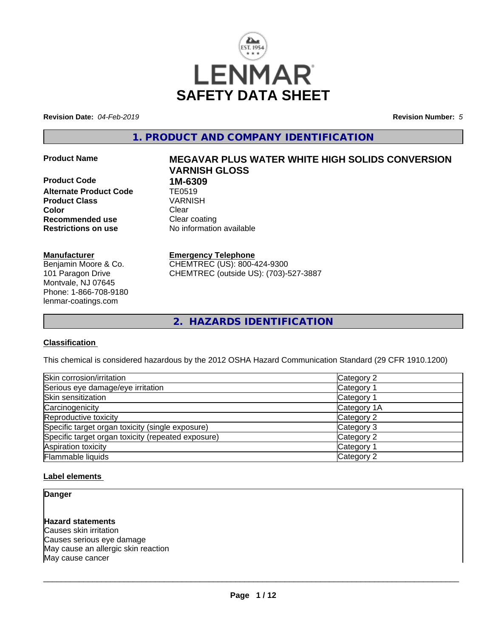

**Revision Date:** *04-Feb-2019* **Revision Number:** *5*

**1. PRODUCT AND COMPANY IDENTIFICATION**

**Product Code 1M-6309**<br>**Alternate Product Code 11 TE0519 Alternate Product Code TE0519**<br> **Product Class** VARNISH **Product Class Color** Clear Clear **Recommended use** Clear coating **Restrictions on use** No information available

## **Manufacturer**

Benjamin Moore & Co. 101 Paragon Drive Montvale, NJ 07645 Phone: 1-866-708-9180 lenmar-coatings.com

# **Product Name MEGAVAR PLUS WATER WHITE HIGH SOLIDS CONVERSION VARNISH GLOSS**

**Emergency Telephone** CHEMTREC (US): 800-424-9300 CHEMTREC (outside US): (703)-527-3887

**2. HAZARDS IDENTIFICATION**

#### **Classification**

This chemical is considered hazardous by the 2012 OSHA Hazard Communication Standard (29 CFR 1910.1200)

| Skin corrosion/irritation                          | Category 2  |  |
|----------------------------------------------------|-------------|--|
| Serious eye damage/eye irritation                  | Category 1  |  |
| Skin sensitization                                 | Category 1  |  |
| Carcinogenicity                                    | Category 1A |  |
| Reproductive toxicity                              | Category 2  |  |
| Specific target organ toxicity (single exposure)   | Category 3  |  |
| Specific target organ toxicity (repeated exposure) | Category 2  |  |
| Aspiration toxicity                                | Category 1  |  |
| Flammable liquids                                  | Category 2  |  |

#### **Label elements**

#### **Danger**

## **Hazard statements**

Causes skin irritation Causes serious eye damage May cause an allergic skin reaction May cause cancer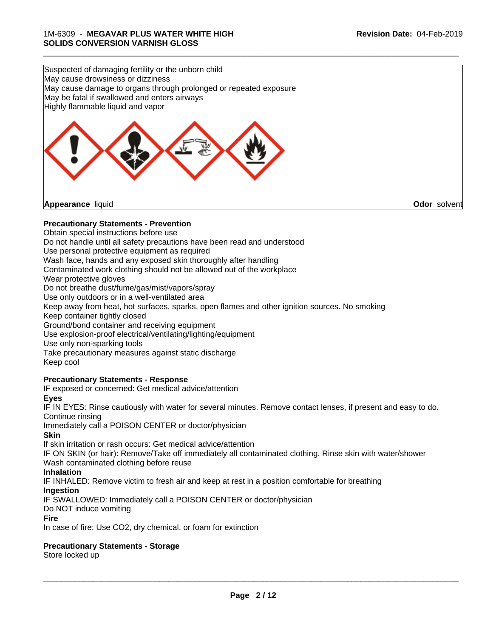\_\_\_\_\_\_\_\_\_\_\_\_\_\_\_\_\_\_\_\_\_\_\_\_\_\_\_\_\_\_\_\_\_\_\_\_\_\_\_\_\_\_\_\_\_\_\_\_\_\_\_\_\_\_\_\_\_\_\_\_\_\_\_\_\_\_\_\_\_\_\_\_\_\_\_\_\_\_\_\_\_\_\_\_\_\_\_\_\_\_\_\_\_

Suspected of damaging fertility or the unborn child May cause drowsiness or dizziness May cause damage to organs through prolonged or repeated exposure May be fatal if swallowed and enters airways Highly flammable liquid and vapor



### **Precautionary Statements - Prevention**

Obtain special instructions before use

Do not handle until all safety precautions have been read and understood

Use personal protective equipment as required

Wash face, hands and any exposed skin thoroughly after handling

Contaminated work clothing should not be allowed out of the workplace

Wear protective gloves

Do not breathe dust/fume/gas/mist/vapors/spray

Use only outdoors or in a well-ventilated area

Keep away from heat, hot surfaces, sparks, open flames and other ignition sources. No smoking

Keep container tightly closed

Ground/bond container and receiving equipment

Use explosion-proof electrical/ventilating/lighting/equipment

Use only non-sparking tools

Take precautionary measures against static discharge Keep cool

#### **Precautionary Statements - Response**

IF exposed or concerned: Get medical advice/attention

**Eyes**

IF IN EYES: Rinse cautiously with water forseveral minutes. Remove contact lenses, if present and easy to do. Continue rinsing

Immediately call a POISON CENTER or doctor/physician

**Skin**

If skin irritation or rash occurs: Get medical advice/attention

IF ON SKIN (or hair): Remove/Take off immediately all contaminated clothing. Rinse skin with water/shower Wash contaminated clothing before reuse

**Inhalation**

IF INHALED: Remove victim to fresh air and keep at rest in a position comfortable for breathing

**Ingestion**

IF SWALLOWED: Immediately call a POISON CENTER or doctor/physician

Do NOT induce vomiting

#### **Fire**

In case of fire: Use CO2, dry chemical, or foam for extinction

#### **Precautionary Statements - Storage**

Store locked up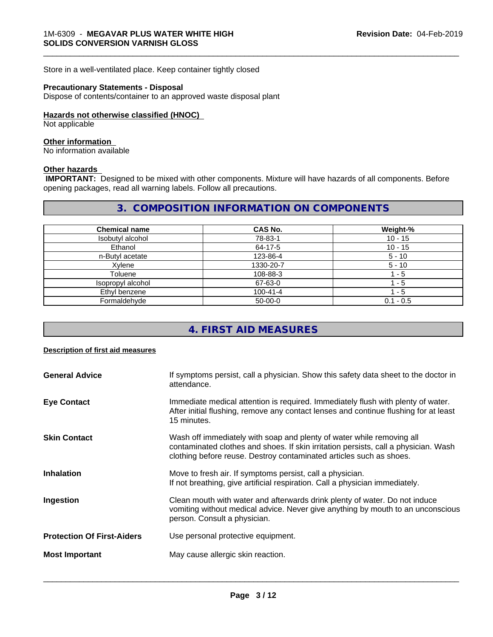Store in a well-ventilated place. Keep container tightly closed

#### **Precautionary Statements - Disposal**

Dispose of contents/container to an approved waste disposal plant

#### **Hazards not otherwise classified (HNOC)**

Not applicable

#### **Other information**

No information available

#### **Other hazards**

 **IMPORTANT:** Designed to be mixed with other components. Mixture will have hazards of all components. Before opening packages, read all warning labels. Follow all precautions.

#### **3. COMPOSITION INFORMATION ON COMPONENTS**

\_\_\_\_\_\_\_\_\_\_\_\_\_\_\_\_\_\_\_\_\_\_\_\_\_\_\_\_\_\_\_\_\_\_\_\_\_\_\_\_\_\_\_\_\_\_\_\_\_\_\_\_\_\_\_\_\_\_\_\_\_\_\_\_\_\_\_\_\_\_\_\_\_\_\_\_\_\_\_\_\_\_\_\_\_\_\_\_\_\_\_\_\_

| <b>Chemical name</b> | <b>CAS No.</b> | Weight-%    |
|----------------------|----------------|-------------|
| Isobutyl alcohol     | 78-83-1        | $10 - 15$   |
| Ethanol              | 64-17-5        | $10 - 15$   |
| n-Butyl acetate      | 123-86-4       | $5 - 10$    |
| Xylene               | 1330-20-7      | $5 - 10$    |
| Toluene              | 108-88-3       | - 5         |
| Isopropyl alcohol    | 67-63-0        | - 5         |
| Ethyl benzene        | $100 - 41 - 4$ | ' - 5       |
| Formaldehyde         | $50-00-0$      | $0.1 - 0.5$ |

## **4. FIRST AID MEASURES**

#### **Description of first aid measures**

| <b>General Advice</b>             | If symptoms persist, call a physician. Show this safety data sheet to the doctor in<br>attendance.                                                                                                                                  |  |  |
|-----------------------------------|-------------------------------------------------------------------------------------------------------------------------------------------------------------------------------------------------------------------------------------|--|--|
| <b>Eye Contact</b>                | Immediate medical attention is required. Immediately flush with plenty of water.<br>After initial flushing, remove any contact lenses and continue flushing for at least<br>15 minutes.                                             |  |  |
| <b>Skin Contact</b>               | Wash off immediately with soap and plenty of water while removing all<br>contaminated clothes and shoes. If skin irritation persists, call a physician. Wash<br>clothing before reuse. Destroy contaminated articles such as shoes. |  |  |
| <b>Inhalation</b>                 | Move to fresh air. If symptoms persist, call a physician.<br>If not breathing, give artificial respiration. Call a physician immediately.                                                                                           |  |  |
| Ingestion                         | Clean mouth with water and afterwards drink plenty of water. Do not induce<br>vomiting without medical advice. Never give anything by mouth to an unconscious<br>person. Consult a physician.                                       |  |  |
| <b>Protection Of First-Aiders</b> | Use personal protective equipment.                                                                                                                                                                                                  |  |  |
| <b>Most Important</b>             | May cause allergic skin reaction.                                                                                                                                                                                                   |  |  |
|                                   |                                                                                                                                                                                                                                     |  |  |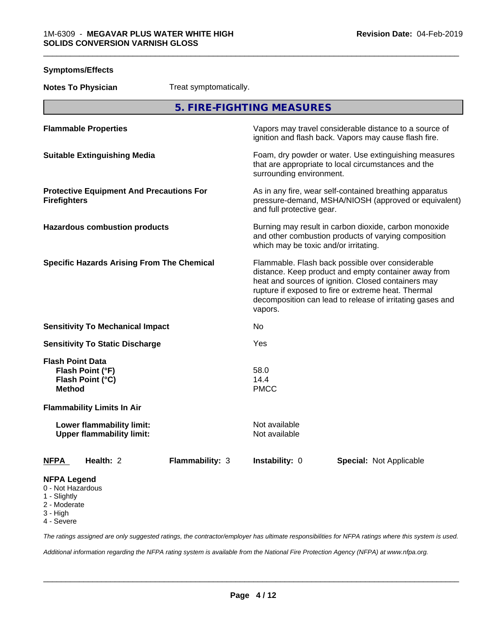**Symptoms/Effects**

| <b>Notes To Physician</b>                                                                         | Treat symptomatically. |                                       |                                                                                                                                                                                                                                                                                     |  |
|---------------------------------------------------------------------------------------------------|------------------------|---------------------------------------|-------------------------------------------------------------------------------------------------------------------------------------------------------------------------------------------------------------------------------------------------------------------------------------|--|
|                                                                                                   |                        | 5. FIRE-FIGHTING MEASURES             |                                                                                                                                                                                                                                                                                     |  |
| <b>Flammable Properties</b>                                                                       |                        |                                       | Vapors may travel considerable distance to a source of<br>ignition and flash back. Vapors may cause flash fire.                                                                                                                                                                     |  |
| <b>Suitable Extinguishing Media</b>                                                               |                        | surrounding environment.              | Foam, dry powder or water. Use extinguishing measures<br>that are appropriate to local circumstances and the                                                                                                                                                                        |  |
| <b>Protective Equipment And Precautions For</b><br><b>Firefighters</b>                            |                        | and full protective gear.             | As in any fire, wear self-contained breathing apparatus<br>pressure-demand, MSHA/NIOSH (approved or equivalent)                                                                                                                                                                     |  |
| <b>Hazardous combustion products</b>                                                              |                        | which may be toxic and/or irritating. | Burning may result in carbon dioxide, carbon monoxide<br>and other combustion products of varying composition                                                                                                                                                                       |  |
| <b>Specific Hazards Arising From The Chemical</b>                                                 |                        | vapors.                               | Flammable. Flash back possible over considerable<br>distance. Keep product and empty container away from<br>heat and sources of ignition. Closed containers may<br>rupture if exposed to fire or extreme heat. Thermal<br>decomposition can lead to release of irritating gases and |  |
| <b>Sensitivity To Mechanical Impact</b>                                                           |                        | No                                    |                                                                                                                                                                                                                                                                                     |  |
| <b>Sensitivity To Static Discharge</b>                                                            |                        | Yes                                   |                                                                                                                                                                                                                                                                                     |  |
| <b>Flash Point Data</b><br>Flash Point (°F)<br>Flash Point (°C)<br><b>Method</b>                  |                        | 58.0<br>14.4<br><b>PMCC</b>           |                                                                                                                                                                                                                                                                                     |  |
| <b>Flammability Limits In Air</b>                                                                 |                        |                                       |                                                                                                                                                                                                                                                                                     |  |
| Lower flammability limit:<br><b>Upper flammability limit:</b>                                     |                        | Not available<br>Not available        |                                                                                                                                                                                                                                                                                     |  |
| Health: 2<br><u>NFPA</u>                                                                          | Flammability: 3        | Instability: 0                        | <b>Special: Not Applicable</b>                                                                                                                                                                                                                                                      |  |
| <b>NFPA Legend</b><br>0 - Not Hazardous<br>1 - Slightly<br>2 - Moderate<br>3 - High<br>4 - Severe |                        |                                       |                                                                                                                                                                                                                                                                                     |  |

*The ratings assigned are only suggested ratings, the contractor/employer has ultimate responsibilities for NFPA ratings where this system is used.*

*Additional information regarding the NFPA rating system is available from the National Fire Protection Agency (NFPA) at www.nfpa.org.*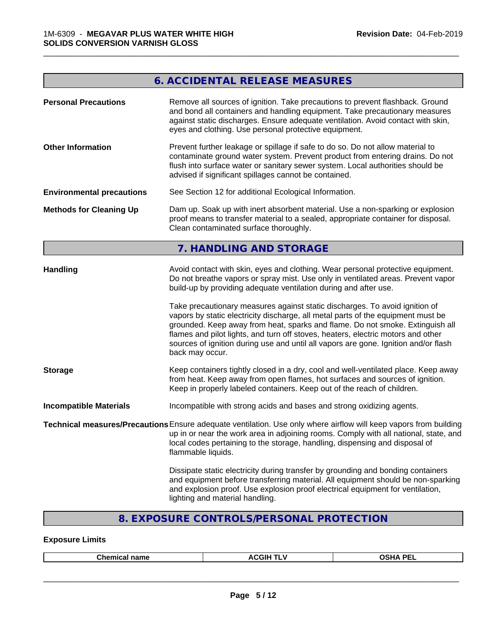## **6. ACCIDENTAL RELEASE MEASURES**

\_\_\_\_\_\_\_\_\_\_\_\_\_\_\_\_\_\_\_\_\_\_\_\_\_\_\_\_\_\_\_\_\_\_\_\_\_\_\_\_\_\_\_\_\_\_\_\_\_\_\_\_\_\_\_\_\_\_\_\_\_\_\_\_\_\_\_\_\_\_\_\_\_\_\_\_\_\_\_\_\_\_\_\_\_\_\_\_\_\_\_\_\_

| <b>Personal Precautions</b>      | Remove all sources of ignition. Take precautions to prevent flashback. Ground<br>and bond all containers and handling equipment. Take precautionary measures<br>against static discharges. Ensure adequate ventilation. Avoid contact with skin,<br>eyes and clothing. Use personal protective equipment.                                                                                                                                                                                                                                                                                                                                                              |  |  |
|----------------------------------|------------------------------------------------------------------------------------------------------------------------------------------------------------------------------------------------------------------------------------------------------------------------------------------------------------------------------------------------------------------------------------------------------------------------------------------------------------------------------------------------------------------------------------------------------------------------------------------------------------------------------------------------------------------------|--|--|
| <b>Other Information</b>         | Prevent further leakage or spillage if safe to do so. Do not allow material to<br>contaminate ground water system. Prevent product from entering drains. Do not<br>flush into surface water or sanitary sewer system. Local authorities should be<br>advised if significant spillages cannot be contained.                                                                                                                                                                                                                                                                                                                                                             |  |  |
| <b>Environmental precautions</b> | See Section 12 for additional Ecological Information.                                                                                                                                                                                                                                                                                                                                                                                                                                                                                                                                                                                                                  |  |  |
| <b>Methods for Cleaning Up</b>   | Dam up. Soak up with inert absorbent material. Use a non-sparking or explosion<br>proof means to transfer material to a sealed, appropriate container for disposal.<br>Clean contaminated surface thoroughly.                                                                                                                                                                                                                                                                                                                                                                                                                                                          |  |  |
|                                  | 7. HANDLING AND STORAGE                                                                                                                                                                                                                                                                                                                                                                                                                                                                                                                                                                                                                                                |  |  |
| Handling                         | Avoid contact with skin, eyes and clothing. Wear personal protective equipment.<br>Do not breathe vapors or spray mist. Use only in ventilated areas. Prevent vapor<br>build-up by providing adequate ventilation during and after use.<br>Take precautionary measures against static discharges. To avoid ignition of<br>vapors by static electricity discharge, all metal parts of the equipment must be<br>grounded. Keep away from heat, sparks and flame. Do not smoke. Extinguish all<br>flames and pilot lights, and turn off stoves, heaters, electric motors and other<br>sources of ignition during use and until all vapors are gone. Ignition and/or flash |  |  |
|                                  | back may occur.                                                                                                                                                                                                                                                                                                                                                                                                                                                                                                                                                                                                                                                        |  |  |
| <b>Storage</b>                   | Keep containers tightly closed in a dry, cool and well-ventilated place. Keep away<br>from heat. Keep away from open flames, hot surfaces and sources of ignition.<br>Keep in properly labeled containers. Keep out of the reach of children.                                                                                                                                                                                                                                                                                                                                                                                                                          |  |  |
| <b>Incompatible Materials</b>    | Incompatible with strong acids and bases and strong oxidizing agents.                                                                                                                                                                                                                                                                                                                                                                                                                                                                                                                                                                                                  |  |  |
|                                  | Technical measures/Precautions Ensure adequate ventilation. Use only where airflow will keep vapors from building<br>up in or near the work area in adjoining rooms. Comply with all national, state, and<br>local codes pertaining to the storage, handling, dispensing and disposal of<br>flammable liquids.                                                                                                                                                                                                                                                                                                                                                         |  |  |
|                                  | Dissipate static electricity during transfer by grounding and bonding containers<br>and equipment before transferring material. All equipment should be non-sparking<br>and explosion proof. Use explosion proof electrical equipment for ventilation,<br>lighting and material handling.                                                                                                                                                                                                                                                                                                                                                                              |  |  |

## **8. EXPOSURE CONTROLS/PERSONAL PROTECTION**

## **Exposure Limits**

|  | <b>Chamu</b><br>-------<br>---<br>чанк<br>--- | <b>ACGIF</b><br>. . | ----<br>DE.<br>. .<br>``<br>-- |
|--|-----------------------------------------------|---------------------|--------------------------------|
|--|-----------------------------------------------|---------------------|--------------------------------|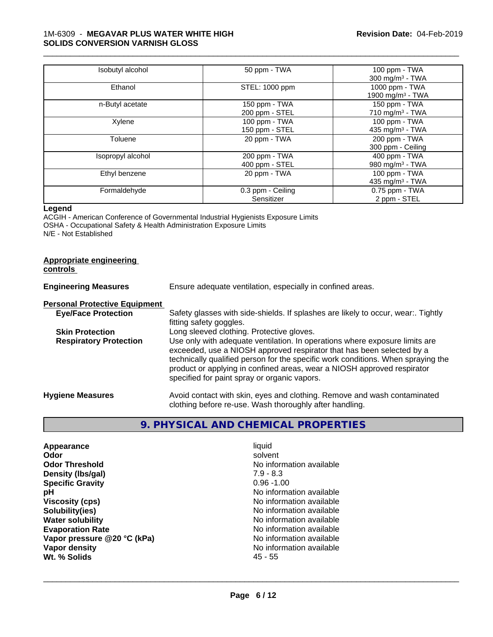#### 1M-6309 - **MEGAVAR PLUS WATER WHITE HIGH SOLIDS CONVERSION VARNISH GLOSS**

| Isobutyl alcohol  | 50 ppm - TWA      | 100 ppm - TWA               |
|-------------------|-------------------|-----------------------------|
|                   |                   | 300 mg/m <sup>3</sup> - TWA |
| Ethanol           | STEL: 1000 ppm    | 1000 ppm - TWA              |
|                   |                   | 1900 mg/m $3$ - TWA         |
| n-Butyl acetate   | 150 ppm - TWA     | 150 ppm - TWA               |
|                   | 200 ppm - STEL    | 710 mg/m $3$ - TWA          |
| Xylene            | 100 ppm - TWA     | 100 ppm - TWA               |
|                   | 150 ppm - STEL    | 435 mg/m <sup>3</sup> - TWA |
| Toluene           | 20 ppm - TWA      | 200 ppm - TWA               |
|                   |                   | 300 ppm - Ceiling           |
| Isopropyl alcohol | 200 ppm - TWA     | 400 ppm - TWA               |
|                   | 400 ppm - STEL    | 980 mg/m $3$ - TWA          |
| Ethyl benzene     | 20 ppm - TWA      | $100$ ppm $-$ TWA           |
|                   |                   | 435 mg/m <sup>3</sup> - TWA |
| Formaldehyde      | 0.3 ppm - Ceiling | 0.75 ppm - TWA              |
|                   | Sensitizer        | 2 ppm - STEL                |

\_\_\_\_\_\_\_\_\_\_\_\_\_\_\_\_\_\_\_\_\_\_\_\_\_\_\_\_\_\_\_\_\_\_\_\_\_\_\_\_\_\_\_\_\_\_\_\_\_\_\_\_\_\_\_\_\_\_\_\_\_\_\_\_\_\_\_\_\_\_\_\_\_\_\_\_\_\_\_\_\_\_\_\_\_\_\_\_\_\_\_\_\_

#### **Legend**

ACGIH - American Conference of Governmental Industrial Hygienists Exposure Limits OSHA - Occupational Safety & Health Administration Exposure Limits N/E - Not Established

#### **Appropriate engineering controls**

| <b>Engineering Measures</b>          | Ensure adequate ventilation, especially in confined areas.                                                                                                                                                                                                                                                                                                          |  |  |
|--------------------------------------|---------------------------------------------------------------------------------------------------------------------------------------------------------------------------------------------------------------------------------------------------------------------------------------------------------------------------------------------------------------------|--|--|
| <b>Personal Protective Equipment</b> |                                                                                                                                                                                                                                                                                                                                                                     |  |  |
| <b>Eye/Face Protection</b>           | Safety glasses with side-shields. If splashes are likely to occur, wear:. Tightly<br>fitting safety goggles.                                                                                                                                                                                                                                                        |  |  |
| <b>Skin Protection</b>               | Long sleeved clothing. Protective gloves.                                                                                                                                                                                                                                                                                                                           |  |  |
| <b>Respiratory Protection</b>        | Use only with adequate ventilation. In operations where exposure limits are<br>exceeded, use a NIOSH approved respirator that has been selected by a<br>technically qualified person for the specific work conditions. When spraying the<br>product or applying in confined areas, wear a NIOSH approved respirator<br>specified for paint spray or organic vapors. |  |  |
| <b>Hygiene Measures</b>              | Avoid contact with skin, eyes and clothing. Remove and wash contaminated<br>clothing before re-use. Wash thoroughly after handling.                                                                                                                                                                                                                                 |  |  |

## **9. PHYSICAL AND CHEMICAL PROPERTIES**

| Appearance                  | liquid                   |
|-----------------------------|--------------------------|
| Odor                        | solvent                  |
| <b>Odor Threshold</b>       | No information available |
| Density (Ibs/gal)           | $7.9 - 8.3$              |
| <b>Specific Gravity</b>     | $0.96 - 1.00$            |
| рH                          | No information available |
| <b>Viscosity (cps)</b>      | No information available |
| Solubility(ies)             | No information available |
| <b>Water solubility</b>     | No information available |
| <b>Evaporation Rate</b>     | No information available |
| Vapor pressure @20 °C (kPa) | No information available |
| Vapor density               | No information available |
| Wt. % Solids                | $45 - 55$                |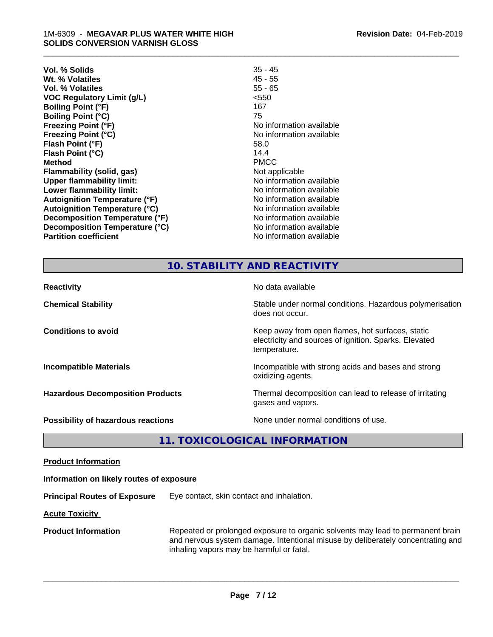| Vol. % Solids                        | $35 - 45$                |
|--------------------------------------|--------------------------|
| Wt. % Volatiles                      | $45 - 55$                |
| Vol. % Volatiles                     | $55 - 65$                |
| <b>VOC Regulatory Limit (g/L)</b>    | < 550                    |
| <b>Boiling Point (°F)</b>            | 167                      |
| <b>Boiling Point (°C)</b>            | 75                       |
| <b>Freezing Point (°F)</b>           | No information available |
| <b>Freezing Point (°C)</b>           | No information available |
| Flash Point (°F)                     | 58.0                     |
| Flash Point (°C)                     | 14.4                     |
| <b>Method</b>                        | <b>PMCC</b>              |
| Flammability (solid, gas)            | Not applicable           |
| <b>Upper flammability limit:</b>     | No information available |
| Lower flammability limit:            | No information available |
| <b>Autoignition Temperature (°F)</b> | No information available |
| <b>Autoignition Temperature (°C)</b> | No information available |
| Decomposition Temperature (°F)       | No information available |
| Decomposition Temperature (°C)       | No information available |
| <b>Partition coefficient</b>         | No information available |
|                                      |                          |

\_\_\_\_\_\_\_\_\_\_\_\_\_\_\_\_\_\_\_\_\_\_\_\_\_\_\_\_\_\_\_\_\_\_\_\_\_\_\_\_\_\_\_\_\_\_\_\_\_\_\_\_\_\_\_\_\_\_\_\_\_\_\_\_\_\_\_\_\_\_\_\_\_\_\_\_\_\_\_\_\_\_\_\_\_\_\_\_\_\_\_\_\_

#### **10. STABILITY AND REACTIVITY**

| <b>Reactivity</b>                         | No data available                                                                                                         |
|-------------------------------------------|---------------------------------------------------------------------------------------------------------------------------|
| <b>Chemical Stability</b>                 | Stable under normal conditions. Hazardous polymerisation<br>does not occur.                                               |
| <b>Conditions to avoid</b>                | Keep away from open flames, hot surfaces, static<br>electricity and sources of ignition. Sparks. Elevated<br>temperature. |
| <b>Incompatible Materials</b>             | Incompatible with strong acids and bases and strong<br>oxidizing agents.                                                  |
| <b>Hazardous Decomposition Products</b>   | Thermal decomposition can lead to release of irritating<br>gases and vapors.                                              |
| <b>Possibility of hazardous reactions</b> | None under normal conditions of use.                                                                                      |

**11. TOXICOLOGICAL INFORMATION**

**Product Information**

#### **Information on likely routes of exposure**

**Principal Routes of Exposure** Eye contact, skin contact and inhalation.

**Acute Toxicity** 

**Product Information** Repeated or prolonged exposure to organic solvents may lead to permanent brain and nervous system damage. Intentional misuse by deliberately concentrating and inhaling vapors may be harmful or fatal.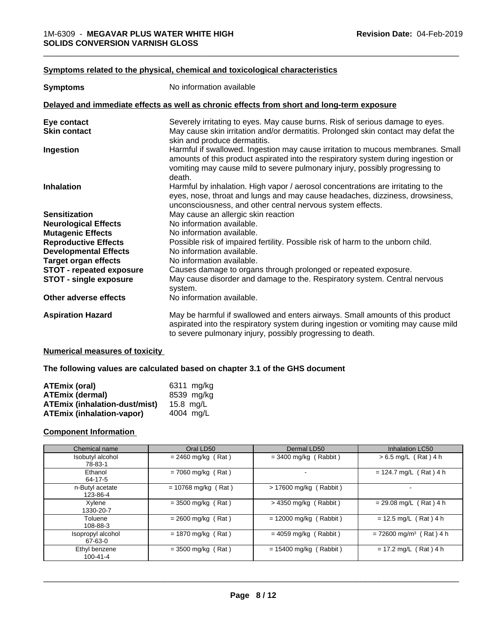#### **<u>Symptoms related to the physical, chemical and toxicological characteristics</u>**

| <b>Symptoms</b>                 | No information available                                                                                                                                                                                                                                      |
|---------------------------------|---------------------------------------------------------------------------------------------------------------------------------------------------------------------------------------------------------------------------------------------------------------|
|                                 | Delayed and immediate effects as well as chronic effects from short and long-term exposure                                                                                                                                                                    |
| Eye contact                     | Severely irritating to eyes. May cause burns. Risk of serious damage to eyes.                                                                                                                                                                                 |
| <b>Skin contact</b>             | May cause skin irritation and/or dermatitis. Prolonged skin contact may defat the<br>skin and produce dermatitis.                                                                                                                                             |
| Ingestion                       | Harmful if swallowed. Ingestion may cause irritation to mucous membranes. Small<br>amounts of this product aspirated into the respiratory system during ingestion or<br>vomiting may cause mild to severe pulmonary injury, possibly progressing to<br>death. |
| <b>Inhalation</b>               | Harmful by inhalation. High vapor / aerosol concentrations are irritating to the<br>eyes, nose, throat and lungs and may cause headaches, dizziness, drowsiness,<br>unconsciousness, and other central nervous system effects.                                |
| <b>Sensitization</b>            | May cause an allergic skin reaction                                                                                                                                                                                                                           |
| <b>Neurological Effects</b>     | No information available.                                                                                                                                                                                                                                     |
| <b>Mutagenic Effects</b>        | No information available.                                                                                                                                                                                                                                     |
| <b>Reproductive Effects</b>     | Possible risk of impaired fertility. Possible risk of harm to the unborn child.                                                                                                                                                                               |
| <b>Developmental Effects</b>    | No information available.                                                                                                                                                                                                                                     |
| <b>Target organ effects</b>     | No information available.                                                                                                                                                                                                                                     |
| <b>STOT - repeated exposure</b> | Causes damage to organs through prolonged or repeated exposure.                                                                                                                                                                                               |
| <b>STOT - single exposure</b>   | May cause disorder and damage to the. Respiratory system. Central nervous<br>system.                                                                                                                                                                          |
| Other adverse effects           | No information available.                                                                                                                                                                                                                                     |
| <b>Aspiration Hazard</b>        | May be harmful if swallowed and enters airways. Small amounts of this product<br>aspirated into the respiratory system during ingestion or vomiting may cause mild<br>to severe pulmonary injury, possibly progressing to death.                              |

#### **Numerical measures of toxicity**

**The following values are calculated based on chapter 3.1 of the GHS document**

| <b>ATEmix (oral)</b>                 | 6311 mg/ka |
|--------------------------------------|------------|
| <b>ATEmix (dermal)</b>               | 8539 mg/kg |
| <b>ATEmix (inhalation-dust/mist)</b> | 15.8 ma/L  |
| <b>ATEmix (inhalation-vapor)</b>     | 4004 ma/L  |

#### **Component Information**

| Chemical name                | Oral LD50             | Dermal LD50              | <b>Inhalation LC50</b>                |
|------------------------------|-----------------------|--------------------------|---------------------------------------|
| Isobutyl alcohol<br>78-83-1  | $= 2460$ mg/kg (Rat)  | $=$ 3400 mg/kg (Rabbit)  | $> 6.5$ mg/L (Rat) 4 h                |
| Ethanol<br>64-17-5           | $= 7060$ mg/kg (Rat)  |                          | $= 124.7$ mg/L (Rat) 4 h              |
| n-Butyl acetate<br>123-86-4  | $= 10768$ mg/kg (Rat) | $> 17600$ mg/kg (Rabbit) |                                       |
| Xvlene<br>1330-20-7          | $=$ 3500 mg/kg (Rat)  | $>$ 4350 mg/kg (Rabbit)  | $= 29.08$ mg/L (Rat) 4 h              |
| Toluene<br>108-88-3          | $= 2600$ mg/kg (Rat)  | $= 12000$ mg/kg (Rabbit) | $= 12.5$ mg/L (Rat) 4 h               |
| Isopropyl alcohol<br>67-63-0 | $= 1870$ mg/kg (Rat)  | $= 4059$ mg/kg (Rabbit)  | $= 72600$ mg/m <sup>3</sup> (Rat) 4 h |
| Ethyl benzene<br>100-41-4    | $=$ 3500 mg/kg (Rat)  | $= 15400$ mg/kg (Rabbit) | $= 17.2$ mg/L (Rat) 4 h               |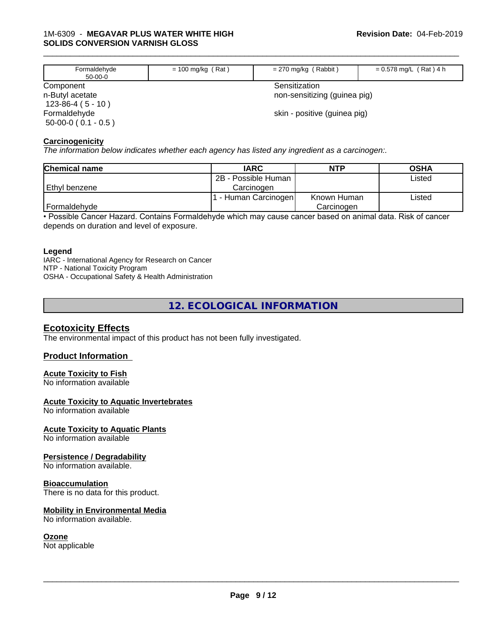| Formaldehyde<br>50-00-0                          | $= 100$ mg/kg (Rat) | $= 270$ mg/kg (Rabbit)                        | $= 0.578$ mg/L (Rat) 4 h |
|--------------------------------------------------|---------------------|-----------------------------------------------|--------------------------|
| Component<br>n-Butyl acetate<br>$123-86-4(5-10)$ |                     | Sensitization<br>non-sensitizing (guinea pig) |                          |
| Formaldehyde<br>$50-00-0$ ( 0.1 - 0.5 )          |                     | skin - positive (guinea pig)                  |                          |

\_\_\_\_\_\_\_\_\_\_\_\_\_\_\_\_\_\_\_\_\_\_\_\_\_\_\_\_\_\_\_\_\_\_\_\_\_\_\_\_\_\_\_\_\_\_\_\_\_\_\_\_\_\_\_\_\_\_\_\_\_\_\_\_\_\_\_\_\_\_\_\_\_\_\_\_\_\_\_\_\_\_\_\_\_\_\_\_\_\_\_\_\_

#### **Carcinogenicity**

*The information below indicateswhether each agency has listed any ingredient as a carcinogen:.*

| <b>Chemical name</b> | <b>IARC</b>         | <b>NTP</b>  | <b>OSHA</b> |
|----------------------|---------------------|-------------|-------------|
|                      | 2B - Possible Human |             | Listed      |
| Ethyl benzene        | Carcinoɑen          |             |             |
|                      | - Human Carcinogen  | Known Human | Listed      |
| Formaldehyde         |                     | Carcinogen  |             |

• Possible Cancer Hazard. Contains Formaldehyde which may cause cancer based on animal data. Risk of cancer depends on duration and level of exposure.

#### **Legend**

IARC - International Agency for Research on Cancer NTP - National Toxicity Program OSHA - Occupational Safety & Health Administration

### **12. ECOLOGICAL INFORMATION**

#### **Ecotoxicity Effects**

The environmental impact of this product has not been fully investigated.

#### **Product Information**

#### **Acute Toxicity to Fish**

No information available

#### **Acute Toxicity to Aquatic Invertebrates**

No information available

#### **Acute Toxicity to Aquatic Plants**

No information available

#### **Persistence / Degradability**

No information available.

#### **Bioaccumulation**

There is no data for this product.

#### **Mobility in Environmental Media**

No information available.

#### **Ozone**

Not applicable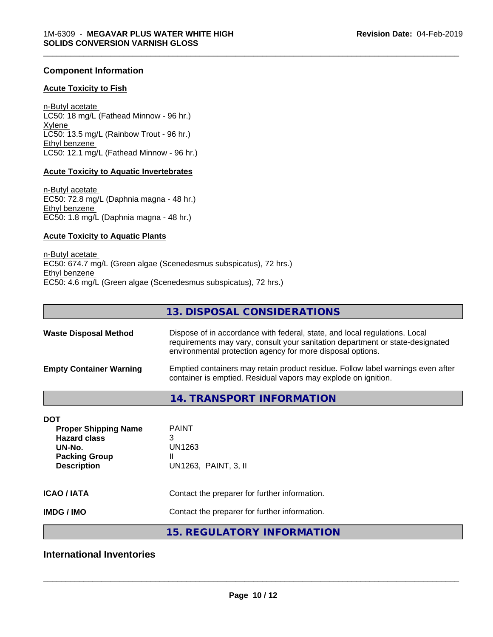#### **Component Information**

#### **Acute Toxicity to Fish**

n-Butyl acetate LC50: 18 mg/L (Fathead Minnow - 96 hr.) Xylene LC50: 13.5 mg/L (Rainbow Trout - 96 hr.) Ethyl benzene LC50: 12.1 mg/L (Fathead Minnow - 96 hr.)

#### **Acute Toxicity to Aquatic Invertebrates**

n-Butyl acetate EC50: 72.8 mg/L (Daphnia magna - 48 hr.) Ethyl benzene EC50: 1.8 mg/L (Daphnia magna - 48 hr.)

#### **Acute Toxicity to Aquatic Plants**

n-Butyl acetate EC50: 674.7 mg/L (Green algae (Scenedesmus subspicatus), 72 hrs.) Ethyl benzene EC50: 4.6 mg/L (Green algae (Scenedesmus subspicatus), 72 hrs.)

|                                                                                                                          | 13. DISPOSAL CONSIDERATIONS                                                                                                                                                                                               |
|--------------------------------------------------------------------------------------------------------------------------|---------------------------------------------------------------------------------------------------------------------------------------------------------------------------------------------------------------------------|
| <b>Waste Disposal Method</b>                                                                                             | Dispose of in accordance with federal, state, and local regulations. Local<br>requirements may vary, consult your sanitation department or state-designated<br>environmental protection agency for more disposal options. |
| <b>Empty Container Warning</b>                                                                                           | Emptied containers may retain product residue. Follow label warnings even after<br>container is emptied. Residual vapors may explode on ignition.                                                                         |
|                                                                                                                          | <b>14. TRANSPORT INFORMATION</b>                                                                                                                                                                                          |
| <b>DOT</b><br><b>Proper Shipping Name</b><br><b>Hazard class</b><br>UN-No.<br><b>Packing Group</b><br><b>Description</b> | <b>PAINT</b><br>3<br><b>UN1263</b><br>Ш<br>UN1263, PAINT, 3, II                                                                                                                                                           |
| <b>ICAO/IATA</b>                                                                                                         | Contact the preparer for further information.                                                                                                                                                                             |
| <b>IMDG/IMO</b>                                                                                                          | Contact the preparer for further information.                                                                                                                                                                             |
|                                                                                                                          | <b>15. REGULATORY INFORMATION</b>                                                                                                                                                                                         |

\_\_\_\_\_\_\_\_\_\_\_\_\_\_\_\_\_\_\_\_\_\_\_\_\_\_\_\_\_\_\_\_\_\_\_\_\_\_\_\_\_\_\_\_\_\_\_\_\_\_\_\_\_\_\_\_\_\_\_\_\_\_\_\_\_\_\_\_\_\_\_\_\_\_\_\_\_\_\_\_\_\_\_\_\_\_\_\_\_\_\_\_\_

## **International Inventories**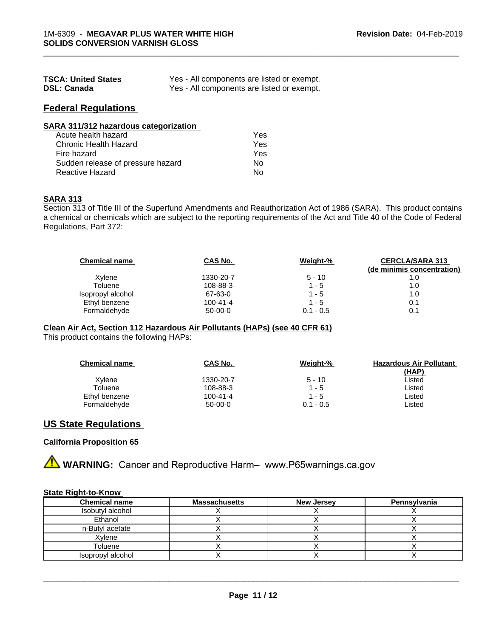| <b>TSCA: United States</b> | Yes - All components are listed or exempt. |
|----------------------------|--------------------------------------------|
| <b>DSL: Canada</b>         | Yes - All components are listed or exempt. |

## **Federal Regulations**

|  |  | <b>SARA 311/312 hazardous categorization</b> |
|--|--|----------------------------------------------|
|  |  |                                              |

| $\mathbf{u} \times \mathbf{v}$ , $\mathbf{u} \times \mathbf{u}$ , $\mathbf{u} \times \mathbf{u}$ , $\mathbf{u} \times \mathbf{u}$ , $\mathbf{u} \times \mathbf{u}$ , $\mathbf{u} \times \mathbf{u}$ |     |  |
|-----------------------------------------------------------------------------------------------------------------------------------------------------------------------------------------------------|-----|--|
| Acute health hazard                                                                                                                                                                                 | Yes |  |
| Chronic Health Hazard                                                                                                                                                                               | Yes |  |
| Fire hazard                                                                                                                                                                                         | Yes |  |
| Sudden release of pressure hazard                                                                                                                                                                   | N٥  |  |
| Reactive Hazard                                                                                                                                                                                     | N٥  |  |

#### **SARA 313**

Section 313 of Title III of the Superfund Amendments and Reauthorization Act of 1986 (SARA). This product contains a chemical or chemicals which are subject to the reporting requirements of the Act and Title 40 of the Code of Federal Regulations, Part 372:

| <b>Chemical name</b> | CAS No.        | Weight-%    | <b>CERCLA/SARA 313</b><br>(de minimis concentration) |
|----------------------|----------------|-------------|------------------------------------------------------|
| Xylene               | 1330-20-7      | $5 - 10$    | 1.0                                                  |
| Toluene              | 108-88-3       | 1 - 5       | 1.0                                                  |
| Isopropyl alcohol    | 67-63-0        | 1 - 5       | 1.0                                                  |
| Ethyl benzene        | $100 - 41 - 4$ | $1 - 5$     | 0.1                                                  |
| Formaldehyde         | $50-00-0$      | $0.1 - 0.5$ | 0.1                                                  |

\_\_\_\_\_\_\_\_\_\_\_\_\_\_\_\_\_\_\_\_\_\_\_\_\_\_\_\_\_\_\_\_\_\_\_\_\_\_\_\_\_\_\_\_\_\_\_\_\_\_\_\_\_\_\_\_\_\_\_\_\_\_\_\_\_\_\_\_\_\_\_\_\_\_\_\_\_\_\_\_\_\_\_\_\_\_\_\_\_\_\_\_\_

#### **Clean Air Act,Section 112 Hazardous Air Pollutants (HAPs) (see 40 CFR 61)**

This product contains the following HAPs:

| <b>Chemical name</b> | CAS No.        | Weight-%    | <b>Hazardous Air Pollutant</b> |
|----------------------|----------------|-------------|--------------------------------|
|                      |                |             | <u>(HAP)</u>                   |
| Xylene               | 1330-20-7      | $5 - 10$    | Listed                         |
| Toluene              | 108-88-3       | 1 - 5       | Listed                         |
| Ethyl benzene        | $100 - 41 - 4$ | 1 - 5       | Listed                         |
| Formaldehyde         | $50-00-0$      | $0.1 - 0.5$ | ∟isted                         |

#### **US State Regulations**

#### **California Proposition 65**

**A WARNING:** Cancer and Reproductive Harm– www.P65warnings.ca.gov

#### **State Right-to-Know**

| <b>Chemical name</b> | <b>Massachusetts</b> | <b>New Jersey</b> | Pennsylvania |
|----------------------|----------------------|-------------------|--------------|
| Isobutyl alcohol     |                      |                   |              |
| Ethanol              |                      |                   |              |
| n-Butyl acetate      |                      |                   |              |
| Xylene               |                      |                   |              |
| Toluene              |                      |                   |              |
| Isopropyl alcohol    |                      |                   |              |